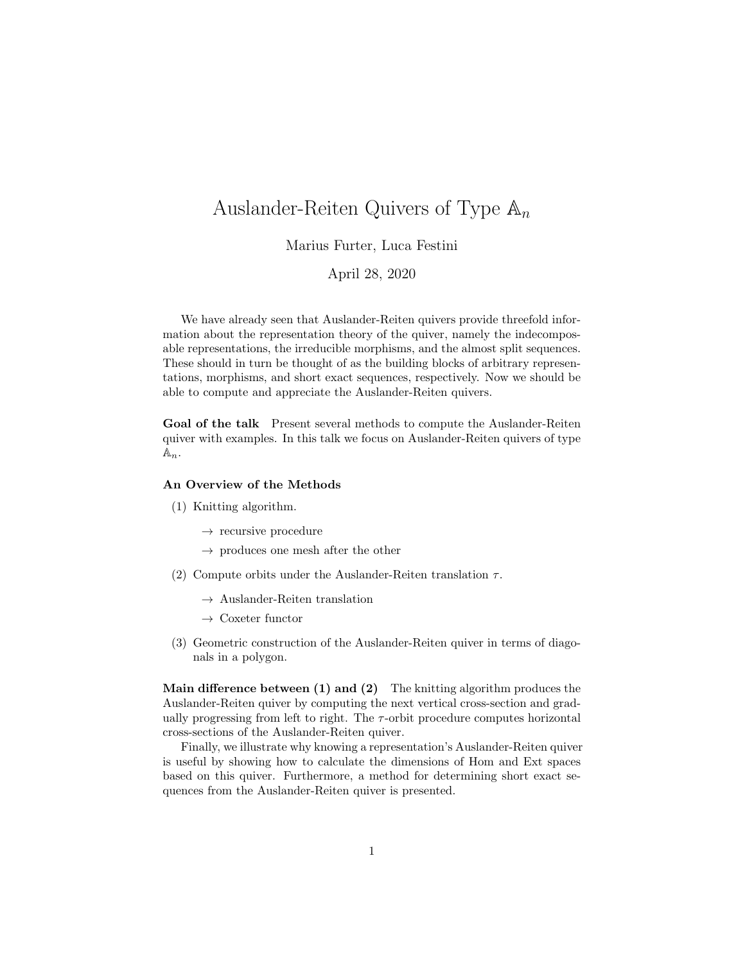# Auslander-Reiten Quivers of Type  $\mathbb{A}_n$

Marius Furter, Luca Festini

April 28, 2020

We have already seen that Auslander-Reiten quivers provide threefold information about the representation theory of the quiver, namely the indecomposable representations, the irreducible morphisms, and the almost split sequences. These should in turn be thought of as the building blocks of arbitrary representations, morphisms, and short exact sequences, respectively. Now we should be able to compute and appreciate the Auslander-Reiten quivers.

Goal of the talk Present several methods to compute the Auslander-Reiten quiver with examples. In this talk we focus on Auslander-Reiten quivers of type  $\mathbb{A}_n$ .

#### An Overview of the Methods

- (1) Knitting algorithm.
	- $\rightarrow$  recursive procedure
	- $\rightarrow$  produces one mesh after the other
- (2) Compute orbits under the Auslander-Reiten translation  $\tau$ .
	- $\rightarrow$  Auslander-Reiten translation
	- $\rightarrow$  Coxeter functor
- (3) Geometric construction of the Auslander-Reiten quiver in terms of diagonals in a polygon.

Main difference between  $(1)$  and  $(2)$  The knitting algorithm produces the Auslander-Reiten quiver by computing the next vertical cross-section and gradually progressing from left to right. The  $\tau$ -orbit procedure computes horizontal cross-sections of the Auslander-Reiten quiver.

Finally, we illustrate why knowing a representation's Auslander-Reiten quiver is useful by showing how to calculate the dimensions of Hom and Ext spaces based on this quiver. Furthermore, a method for determining short exact sequences from the Auslander-Reiten quiver is presented.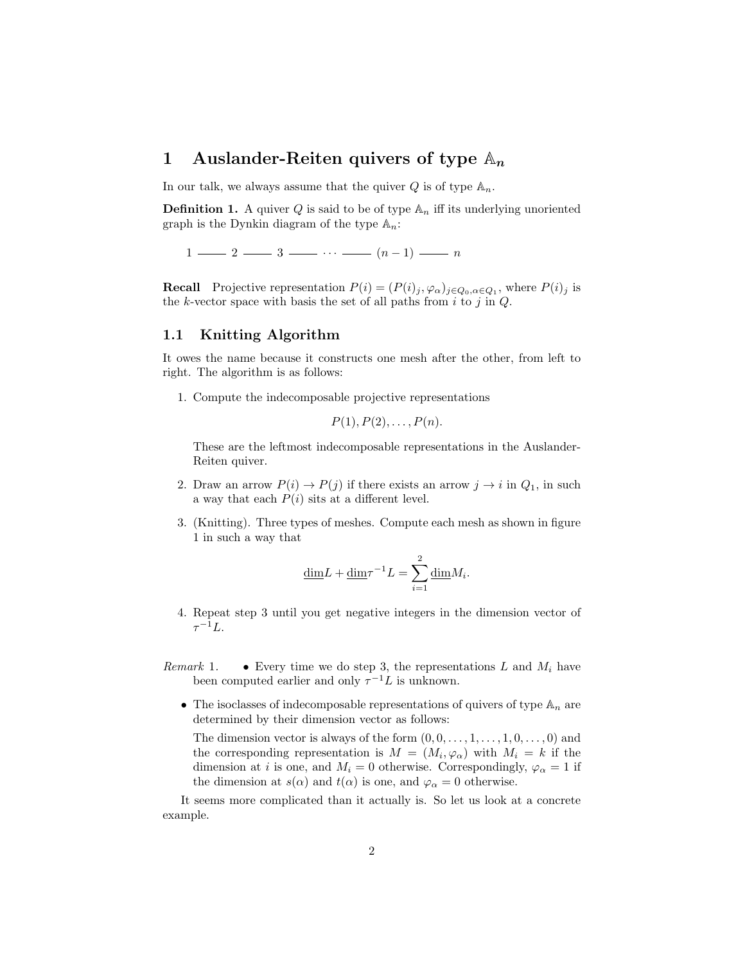## 1 Auslander-Reiten quivers of type  $\mathbb{A}_n$

In our talk, we always assume that the quiver  $Q$  is of type  $\mathbb{A}_n$ .

**Definition 1.** A quiver Q is said to be of type  $\mathbb{A}_n$  iff its underlying unoriented graph is the Dynkin diagram of the type  $\mathbb{A}_n$ :

 $1 \longrightarrow 2 \longrightarrow 3 \longrightarrow \cdots \longrightarrow (n-1) \longrightarrow n$ 

**Recall** Projective representation  $P(i) = (P(i)_j, \varphi_\alpha)_{j \in Q_0, \alpha \in Q_1}$ , where  $P(i)_j$  is the k-vector space with basis the set of all paths from  $i$  to  $j$  in  $Q$ .

## 1.1 Knitting Algorithm

It owes the name because it constructs one mesh after the other, from left to right. The algorithm is as follows:

1. Compute the indecomposable projective representations

$$
P(1), P(2), \ldots, P(n).
$$

These are the leftmost indecomposable representations in the Auslander-Reiten quiver.

- 2. Draw an arrow  $P(i) \to P(j)$  if there exists an arrow  $j \to i$  in  $Q_1$ , in such a way that each  $P(i)$  sits at a different level.
- 3. (Knitting). Three types of meshes. Compute each mesh as shown in figure 1 in such a way that

$$
\underline{\dim} L + \underline{\dim} \tau^{-1} L = \sum_{i=1}^{2} \underline{\dim} M_i.
$$

- 4. Repeat step 3 until you get negative integers in the dimension vector of  $\tau^{-1}L.$
- Remark 1. Every time we do step 3, the representations L and  $M_i$  have been computed earlier and only  $\tau^{-1}L$  is unknown.
	- The isoclasses of indecomposable representations of quivers of type  $\mathbb{A}_n$  are determined by their dimension vector as follows:

The dimension vector is always of the form  $(0, 0, \ldots, 1, \ldots, 1, 0, \ldots, 0)$  and the corresponding representation is  $M = (M_i, \varphi_\alpha)$  with  $M_i = k$  if the dimension at *i* is one, and  $M_i = 0$  otherwise. Correspondingly,  $\varphi_{\alpha} = 1$  if the dimension at  $s(\alpha)$  and  $t(\alpha)$  is one, and  $\varphi_{\alpha} = 0$  otherwise.

It seems more complicated than it actually is. So let us look at a concrete example.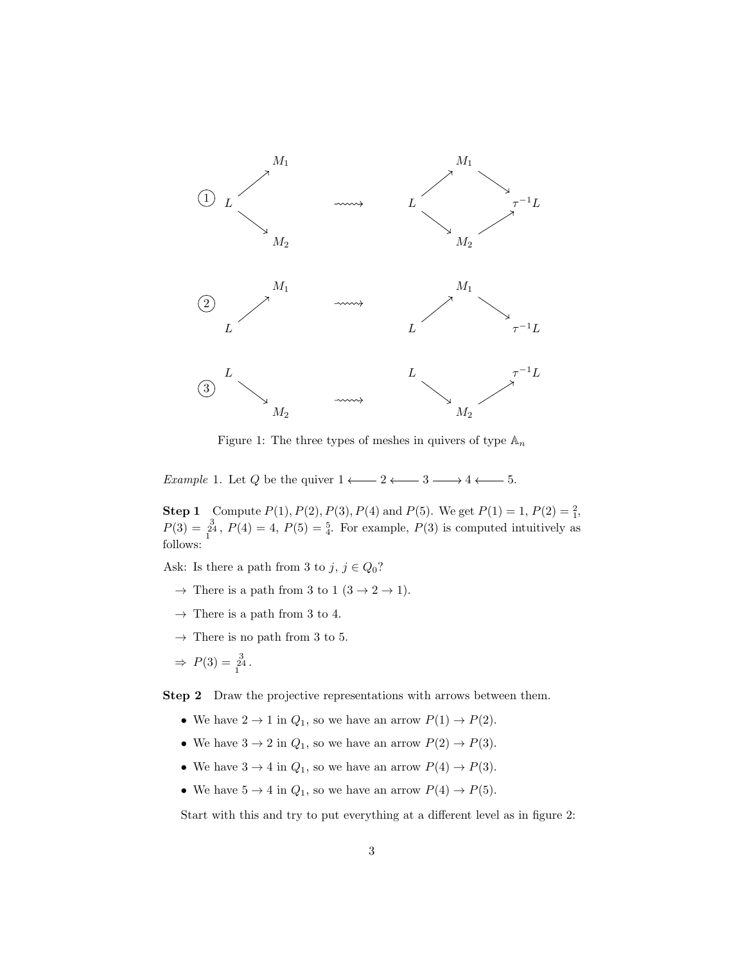

Figure 1: The three types of meshes in quivers of type  $\mathbb{A}_n$ 

 $Example~1. \text{ Let } Q \text{ be the quiver } 1 \longleftarrow 2 \longleftarrow 3 \longrightarrow 4 \longleftarrow 5.$ 

**Step 1** Compute  $P(1)$ ,  $P(2)$ ,  $P(3)$ ,  $P(4)$  and  $P(5)$ . We get  $P(1) = 1$ ,  $P(2) = \frac{2}{1}$ ,  $P(3) = \frac{3}{4}$ ,  $P(4) = 4$ ,  $P(5) = \frac{5}{4}$ . For example,  $P(3)$  is computed intuitively as follows:

Ask: Is there a path from 3 to  $j, j \in Q_0$ ?

- $\rightarrow$  There is a path from 3 to 1 (3  $\rightarrow$  2  $\rightarrow$  1).
- $\rightarrow$  There is a path from 3 to 4.
- $\rightarrow$  There is no path from 3 to 5.

$$
\Rightarrow P(3) = \frac{3}{1^2}.
$$

Step 2 Draw the projective representations with arrows between them.

- We have  $2 \to 1$  in  $Q_1$ , so we have an arrow  $P(1) \to P(2)$ .
- We have  $3 \to 2$  in  $Q_1$ , so we have an arrow  $P(2) \to P(3)$ .
- We have  $3 \to 4$  in  $Q_1$ , so we have an arrow  $P(4) \to P(3)$ .
- We have  $5 \rightarrow 4$  in  $Q_1$ , so we have an arrow  $P(4) \rightarrow P(5)$ .

Start with this and try to put everything at a different level as in figure 2: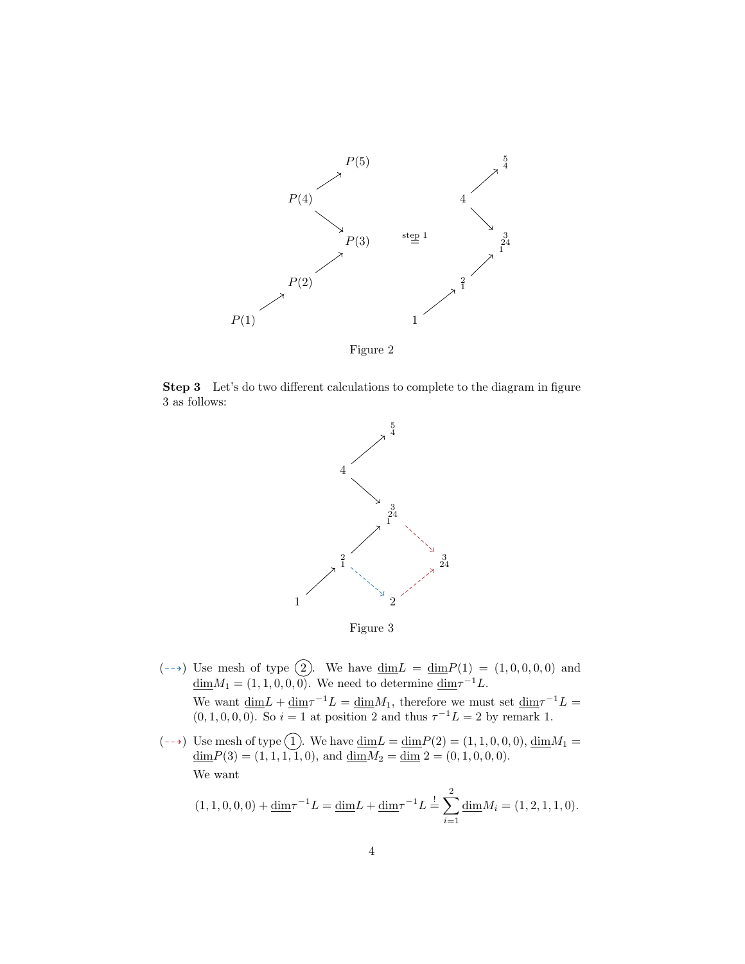

Figure 2

Step 3 Let's do two different calculations to complete to the diagram in figure 3 as follows:



Figure 3

- $(-\rightarrow)$  Use mesh of type  $\widehat{2}$ . We have  $\underline{\dim}L = \underline{\dim}P(1) = (1, 0, 0, 0, 0)$  and  $\underline{\dim} M_1 = (1, 1, 0, 0, 0)$ . We need to determine  $\underline{\dim} \tau^{-1} L$ . We want  $\dim L + \dim \tau^{-1}L = \dim M_1$ , therefore we must set  $\dim \tau^{-1}L =$  $(0, 1, 0, 0, 0)$ . So  $i = 1$  at position 2 and thus  $\tau^{-1}L = 2$  by remark 1.
- (--+) Use mesh of type  $(1)$ . We have  $\underline{\dim}L = \underline{\dim}P(2) = (1, 1, 0, 0, 0), \underline{\dim}M_1 =$  $\underline{\dim}P(3) = (1, 1, 1, 1, 1, 0), \text{ and } \underline{\dim}M_2 = \underline{\dim}2 = (0, 1, 0, 0, 0).$ We want

$$
(1, 1, 0, 0, 0) + \underline{\dim} \tau^{-1} L = \underline{\dim} L + \underline{\dim} \tau^{-1} L = \sum_{i=1}^{n} \underline{\dim} M_i = (1, 2, 1, 1, 0).
$$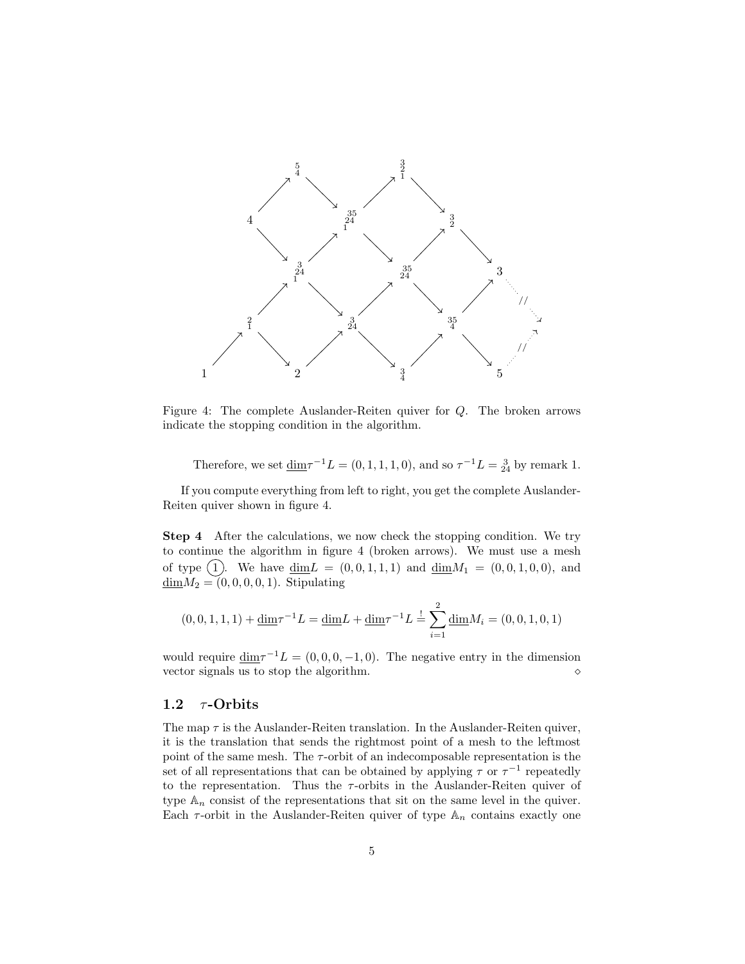

Figure 4: The complete Auslander-Reiten quiver for Q. The broken arrows indicate the stopping condition in the algorithm.

Therefore, we set  $\underline{\dim} \tau^{-1} L = (0, 1, 1, 1, 0)$ , and so  $\tau^{-1} L = \frac{3}{24}$  by remark 1.

If you compute everything from left to right, you get the complete Auslander-Reiten quiver shown in figure 4.

Step 4 After the calculations, we now check the stopping condition. We try to continue the algorithm in figure 4 (broken arrows). We must use a mesh of type  $(1)$ . We have  $\dim L = (0, 0, 1, 1, 1)$  and  $\dim M_1 = (0, 0, 1, 0, 0)$ , and  $\underline{\dim}M_2 = (0, 0, 0, 0, 1)$ . Stipulating

$$
(0,0,1,1,1) + \underline{\dim}\tau^{-1}L = \underline{\dim}L + \underline{\dim}\tau^{-1}L = \sum_{i=1}^{2} \underline{\dim}M_i = (0,0,1,0,1)
$$

would require  $\dim \tau^{-1}L = (0, 0, 0, -1, 0)$ . The negative entry in the dimension vector signals us to stop the algorithm.

## 1.2  $\tau$ -Orbits

The map  $\tau$  is the Auslander-Reiten translation. In the Auslander-Reiten quiver, it is the translation that sends the rightmost point of a mesh to the leftmost point of the same mesh. The  $\tau$ -orbit of an indecomposable representation is the set of all representations that can be obtained by applying  $\tau$  or  $\tau^{-1}$  repeatedly to the representation. Thus the  $\tau$ -orbits in the Auslander-Reiten quiver of type  $A_n$  consist of the representations that sit on the same level in the quiver. Each  $\tau$ -orbit in the Auslander-Reiten quiver of type  $\mathbb{A}_n$  contains exactly one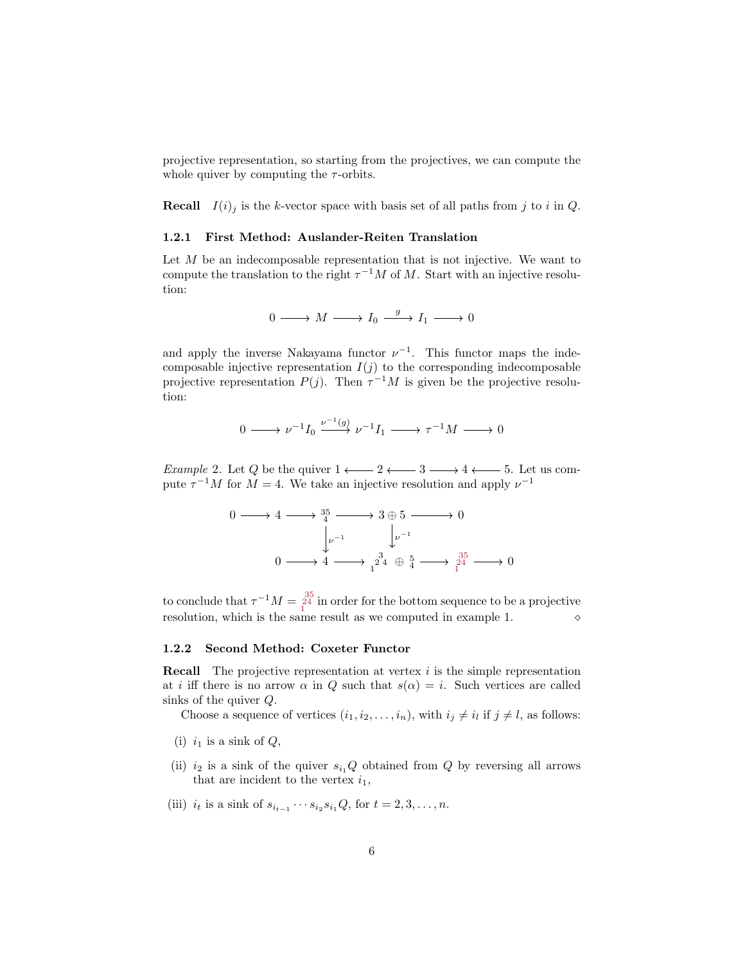projective representation, so starting from the projectives, we can compute the whole quiver by computing the  $\tau$ -orbits.

**Recall**  $I(i)_j$  is the k-vector space with basis set of all paths from j to i in Q.

### 1.2.1 First Method: Auslander-Reiten Translation

Let  $M$  be an indecomposable representation that is not injective. We want to compute the translation to the right  $\tau^{-1}M$  of M. Start with an injective resolution:

$$
0 \longrightarrow M \longrightarrow I_0 \xrightarrow{g} I_1 \longrightarrow 0
$$

and apply the inverse Nakayama functor  $\nu^{-1}$ . This functor maps the indecomposable injective representation  $I(j)$  to the corresponding indecomposable projective representation  $P(j)$ . Then  $\tau^{-1}M$  is given be the projective resolution:

$$
0 \longrightarrow \nu^{-1} I_0 \stackrel{\nu^{-1}(g)}{\longrightarrow} \nu^{-1} I_1 \longrightarrow \tau^{-1} M \longrightarrow 0
$$

*Example 2.* Let Q be the quiver  $1 \longleftarrow 2 \longleftarrow 3 \longrightarrow 4 \longleftarrow 5$ . Let us compute  $\tau^{-1}M$  for  $M=4$ . We take an injective resolution and apply  $\nu^{-1}$ 

$$
0 \longrightarrow 4 \longrightarrow \frac{35}{4} \longrightarrow 3 \oplus 5 \longrightarrow 0
$$
  

$$
\downarrow \qquad \qquad \downarrow \qquad \downarrow \qquad \qquad \downarrow \qquad \qquad \downarrow \qquad \downarrow \qquad \downarrow \qquad \downarrow \qquad \downarrow \qquad \downarrow \qquad \downarrow \qquad \downarrow \qquad \downarrow \qquad \downarrow \qquad \downarrow \qquad \downarrow \qquad \downarrow \qquad \downarrow \qquad \downarrow \qquad \downarrow \qquad \downarrow \qquad \downarrow \qquad \downarrow \qquad \downarrow \qquad \downarrow \qquad \downarrow \qquad \downarrow \qquad \downarrow \qquad \downarrow \qquad \downarrow \qquad \downarrow \qquad \downarrow \qquad \downarrow \qquad \downarrow \qquad \downarrow \qquad \downarrow \qquad \downarrow \qquad \downarrow \qquad \downarrow \qquad \downarrow \qquad \downarrow \qquad \downarrow \qquad \downarrow \qquad \downarrow \qquad \downarrow \qquad \downarrow \qquad \downarrow \qquad \downarrow \qquad \downarrow \qquad \downarrow \qquad \downarrow \qquad \downarrow \qquad \downarrow \qquad \downarrow \qquad \downarrow \qquad \downarrow \qquad \downarrow \qquad \downarrow \qquad \downarrow \qquad \downarrow \qquad \downarrow \qquad \downarrow \qquad \downarrow \qquad \downarrow \qquad \downarrow \qquad \downarrow \qquad \downarrow \qquad \downarrow \qquad \downarrow \qquad \downarrow \qquad \downarrow \qquad \downarrow \qquad \downarrow \qquad \downarrow \qquad \downarrow \qquad \downarrow \qquad \downarrow \qquad \downarrow \qquad \downarrow \qquad \downarrow \qquad \downarrow \qquad \downarrow \qquad \downarrow \qquad \downarrow \qquad \downarrow \qquad \downarrow \qquad \downarrow \qquad \downarrow \qquad \downarrow \qquad \downarrow \qquad \downarrow \qquad \downarrow \qquad \downarrow \qquad \downarrow \qquad \downarrow \qquad \downarrow \qquad \downarrow \qquad \downarrow \qquad \downarrow \qquad \downarrow \qquad \downarrow \qquad \downarrow \qquad \downarrow \qquad \downarrow \qquad \downarrow \qquad \downarrow \qquad \downarrow \qquad \downarrow \qquad \downarrow \qquad \downarrow \qquad \downarrow \qquad \downarrow \qquad \downarrow \qquad \downarrow \qquad \downarrow \qquad \downarrow \qquad \downarrow \qquad \downarrow \qquad \downarrow \q
$$

to conclude that  $\tau^{-1}M = \frac{35}{14}$  in order for the bottom sequence to be a projective resolution, which is the same result as we computed in example 1.

#### 1.2.2 Second Method: Coxeter Functor

**Recall** The projective representation at vertex  $i$  is the simple representation at i iff there is no arrow  $\alpha$  in Q such that  $s(\alpha) = i$ . Such vertices are called sinks of the quiver Q.

Choose a sequence of vertices  $(i_1, i_2, \ldots, i_n)$ , with  $i_j \neq i_l$  if  $j \neq l$ , as follows:

- (i)  $i_1$  is a sink of  $Q$ ,
- (ii)  $i_2$  is a sink of the quiver  $s_{i_1}Q$  obtained from Q by reversing all arrows that are incident to the vertex  $i_1$ ,
- (iii)  $i_t$  is a sink of  $s_{i_{t-1}} \cdots s_{i_2} s_{i_1} Q$ , for  $t = 2, 3, \ldots, n$ .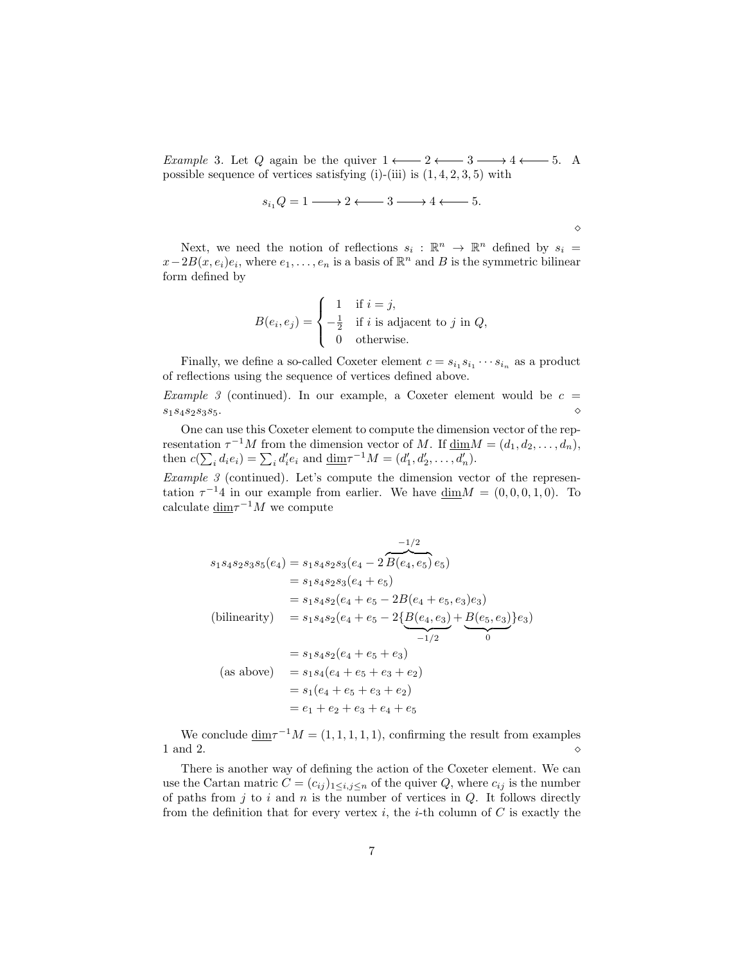*Example* 3. Let Q again be the quiver  $1 \longleftarrow 2 \longleftarrow 3 \longrightarrow 4 \longleftarrow 5$ . A possible sequence of vertices satisfying  $(i)$ - $(iii)$  is  $(1, 4, 2, 3, 5)$  with

$$
s_{i_1}Q = 1 \longrightarrow 2 \longleftarrow 3 \longrightarrow 4 \longleftarrow 5.
$$

Next, we need the notion of reflections  $s_i : \mathbb{R}^n \to \mathbb{R}^n$  defined by  $s_i =$  $x-2B(x, e_i)e_i$ , where  $e_1, \ldots, e_n$  is a basis of  $\mathbb{R}^n$  and B is the symmetric bilinear form defined by

$$
B(e_i, e_j) = \begin{cases} 1 & \text{if } i = j, \\ -\frac{1}{2} & \text{if } i \text{ is adjacent to } j \text{ in } Q, \\ 0 & \text{otherwise.} \end{cases}
$$

Finally, we define a so-called Coxeter element  $c = s_{i_1} s_{i_1} \cdots s_{i_n}$  as a product of reflections using the sequence of vertices defined above.

*Example 3* (continued). In our example, a Coxeter element would be  $c =$  $s_1s_4s_2s_3s_5.$ 

One can use this Coxeter element to compute the dimension vector of the representation  $\tau^{-1}M$  from the dimension vector of M. If  $\underline{\dim}M = (d_1, d_2, \ldots, d_n)$ , then  $c(\sum_i d_i e_i) = \sum_i d'_i e_i$  and  $\underline{\dim} \tau^{-1} M = (d'_1, d'_2, \dots, d'_n)$ .

Example  $\beta$  (continued). Let's compute the dimension vector of the representation  $\tau^{-1}4$  in our example from earlier. We have  $\dim M = (0,0,0,1,0)$ . To calculate  $\underline{\dim} \tau^{-1}M$  we compute

$$
s_1s_4s_2s_3s_5(e_4) = s_1s_4s_2s_3(e_4 - 2\overline{B(e_4, e_5)}e_5)
$$
  
\n
$$
= s_1s_4s_2s_3(e_4 + e_5)
$$
  
\n
$$
= s_1s_4s_2(e_4 + e_5 - 2B(e_4 + e_5, e_3)e_3)
$$
  
\n(bilinearity) 
$$
= s_1s_4s_2(e_4 + e_5 - 2\{\underline{B(e_4, e_3)} + \underline{B(e_5, e_3)}\}e_3)
$$
  
\n
$$
= s_1s_4s_2(e_4 + e_5 + e_3)
$$
  
\n(as above) 
$$
= s_1s_4(e_4 + e_5 + e_3 + e_2)
$$
  
\n
$$
= s_1(e_4 + e_5 + e_3 + e_2)
$$
  
\n
$$
= e_1 + e_2 + e_3 + e_4 + e_5
$$

We conclude  $\dim \tau^{-1}M = (1, 1, 1, 1, 1)$ , confirming the result from examples 1 and 2.  $\Diamond$ 

There is another way of defining the action of the Coxeter element. We can use the Cartan matric  $C = (c_{ij})_{1 \le i,j \le n}$  of the quiver Q, where  $c_{ij}$  is the number of paths from  $j$  to  $i$  and  $n$  is the number of vertices in  $Q$ . It follows directly from the definition that for every vertex i, the i-th column of  $C$  is exactly the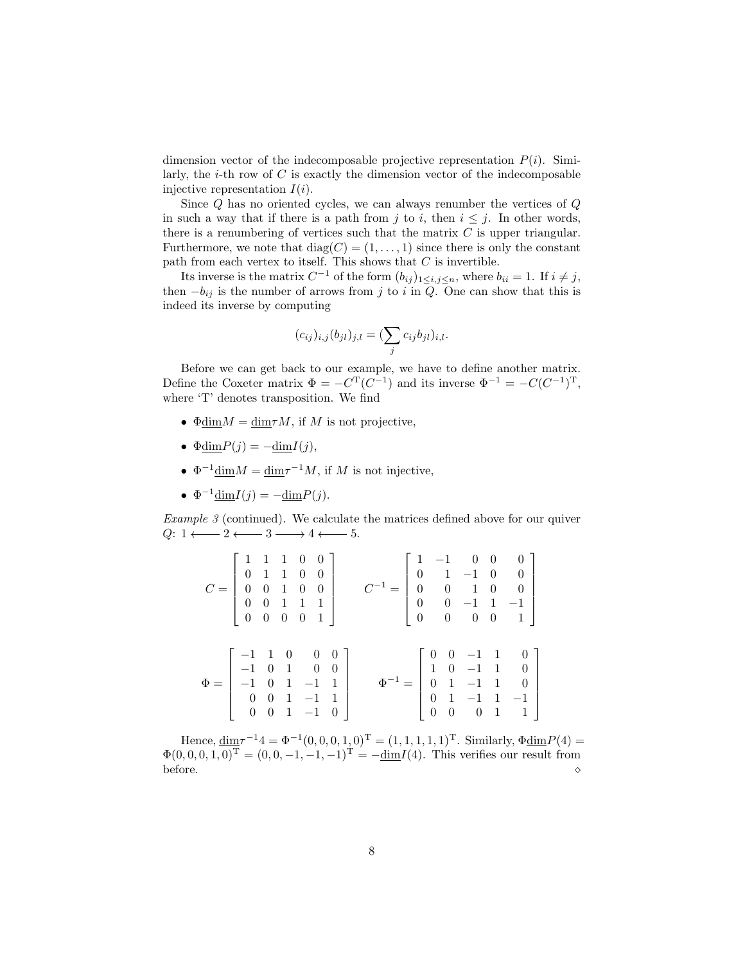dimension vector of the indecomposable projective representation  $P(i)$ . Similarly, the  $i$ -th row of  $C$  is exactly the dimension vector of the indecomposable injective representation  $I(i)$ .

Since Q has no oriented cycles, we can always renumber the vertices of Q in such a way that if there is a path from j to i, then  $i \leq j$ . In other words, there is a renumbering of vertices such that the matrix  $C$  is upper triangular. Furthermore, we note that  $diag(C) = (1, \ldots, 1)$  since there is only the constant path from each vertex to itself. This shows that  $C$  is invertible.

Its inverse is the matrix  $C^{-1}$  of the form  $(b_{ij})_{1 \leq i,j \leq n}$ , where  $b_{ii} = 1$ . If  $i \neq j$ , then  $-b_{ij}$  is the number of arrows from j to i in  $Q$ . One can show that this is indeed its inverse by computing

$$
(c_{ij})_{i,j}(b_{jl})_{j,l} = (\sum_j c_{ij}b_{jl})_{i,l}.
$$

Before we can get back to our example, we have to define another matrix. Define the Coxeter matrix  $\Phi = -C^{T}(C^{-1})$  and its inverse  $\Phi^{-1} = -C(C^{-1})^{T}$ , where 'T' denotes transposition. We find

- $\Phi \text{dim} M = \text{dim} \tau M$ , if M is not projective,
- $\Phi \text{dim} P(j) = -\text{dim} I(j),$
- $\Phi^{-1} \text{dim} M = \text{dim} \tau^{-1} M$ , if M is not injective,
- $\Phi^{-1} \underline{\dim} I(j) = -\underline{\dim} P(j).$

Example 3 (continued). We calculate the matrices defined above for our quiver  $Q: 1 \longleftarrow 2 \longleftarrow 3 \longrightarrow 4 \longleftarrow 5.$ 

|  |  | $C = \left[\begin{array}{cccc} 1 & 1 & 1 & 0 & 0\\ 0 & 1 & 1 & 0 & 0\\ 0 & 0 & 1 & 0 & 0\\ 0 & 0 & 1 & 1 & 1\\ 0 & 0 & 0 & 0 & 1 \end{array}\right] \qquad \  \  C^{-1} = \left[\begin{array}{cccc} 1 & -1 & 0 & 0 & 0\\ 0 & 1 & -1 & 0 & 0\\ 0 & 0 & 1 & 0 & 0\\ 0 & 0 & -1 & 1 & -1\\ 0 & 0 & 0 & 0 & 1 \end{array}\right]$              |  |  |  |
|--|--|--------------------------------------------------------------------------------------------------------------------------------------------------------------------------------------------------------------------------------------------------------------------------------------------------------------------------------------------|--|--|--|
|  |  | $\Phi=\left[\begin{array}{rrrrr} -1 & 1 & 0 & 0 & 0 \\ -1 & 0 & 1 & 0 & 0 \\ -1 & 0 & 1 & -1 & 1 \\ 0 & 0 & 1 & -1 & 1 \\ 0 & 0 & 1 & -1 & 0 \end{array}\right] \qquad \Phi^{-1}=\left[\begin{array}{rrrrr} 0 & 0 & -1 & 1 & 0 \\ 1 & 0 & -1 & 1 & 0 \\ 0 & 1 & -1 & 1 & 0 \\ 0 & 1 & -1 & 1 & -1 \\ 0 & 0 & 0 & 1 & 1 \end{array}\right]$ |  |  |  |

Hence,  $\underline{\dim} \tau^{-1} 4 = \Phi^{-1}(0, 0, 0, 1, 0)^{\mathrm{T}} = (1, 1, 1, 1, 1)^{\mathrm{T}}$ . Similarly,  $\Phi \underline{\dim} P(4) =$  $\Phi(0,0,0,1,0)^{\mathrm{T}} = (0,0,-1,-1,-1)^{\mathrm{T}} = -\underline{\dim}I(4)$ . This verifies our result from before.  $\Diamond$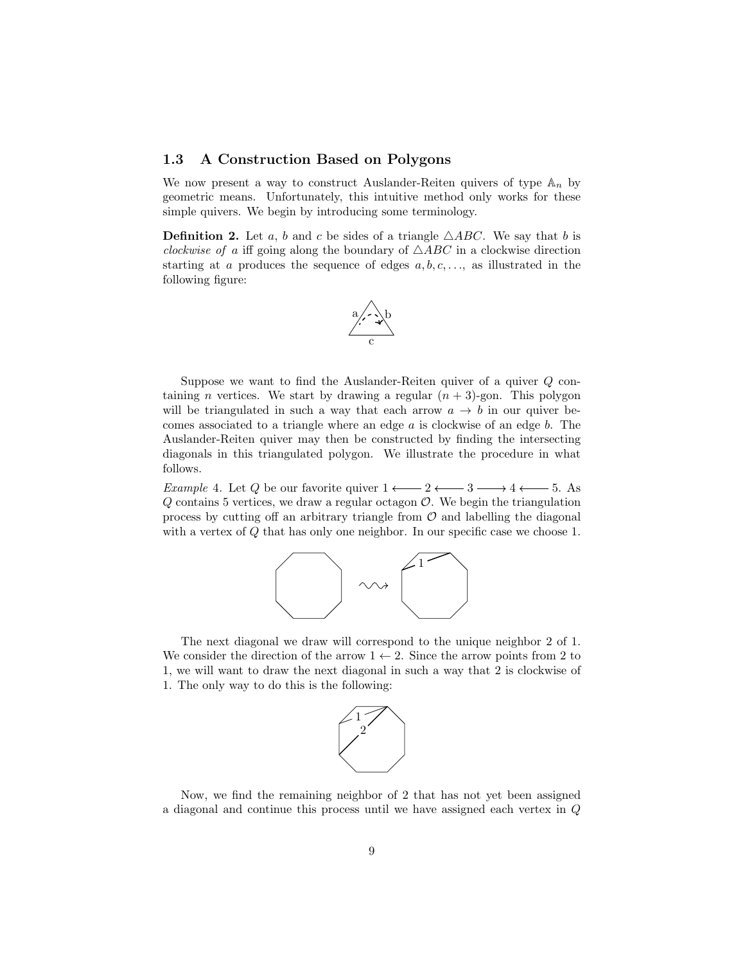## 1.3 A Construction Based on Polygons

We now present a way to construct Auslander-Reiten quivers of type  $\mathbb{A}_n$  by geometric means. Unfortunately, this intuitive method only works for these simple quivers. We begin by introducing some terminology.

**Definition 2.** Let a, b and c be sides of a triangle  $\triangle ABC$ . We say that b is *clockwise of a* iff going along the boundary of  $\triangle ABC$  in a clockwise direction starting at a produces the sequence of edges  $a, b, c, \ldots$ , as illustrated in the following figure:



Suppose we want to find the Auslander-Reiten quiver of a quiver  $Q$  containing *n* vertices. We start by drawing a regular  $(n + 3)$ -gon. This polygon will be triangulated in such a way that each arrow  $a \to b$  in our quiver becomes associated to a triangle where an edge  $a$  is clockwise of an edge  $b$ . The Auslander-Reiten quiver may then be constructed by finding the intersecting diagonals in this triangulated polygon. We illustrate the procedure in what follows.

*Example 4.* Let Q be our favorite quiver  $1 \longleftarrow 2 \longleftarrow 3 \longrightarrow 4 \longleftarrow 5$ . As  $Q$  contains 5 vertices, we draw a regular octagon  $O$ . We begin the triangulation process by cutting off an arbitrary triangle from  $\mathcal O$  and labelling the diagonal with a vertex of Q that has only one neighbor. In our specific case we choose 1.



The next diagonal we draw will correspond to the unique neighbor 2 of 1. We consider the direction of the arrow  $1 \leftarrow 2$ . Since the arrow points from 2 to 1, we will want to draw the next diagonal in such a way that 2 is clockwise of 1. The only way to do this is the following:



Now, we find the remaining neighbor of 2 that has not yet been assigned a diagonal and continue this process until we have assigned each vertex in Q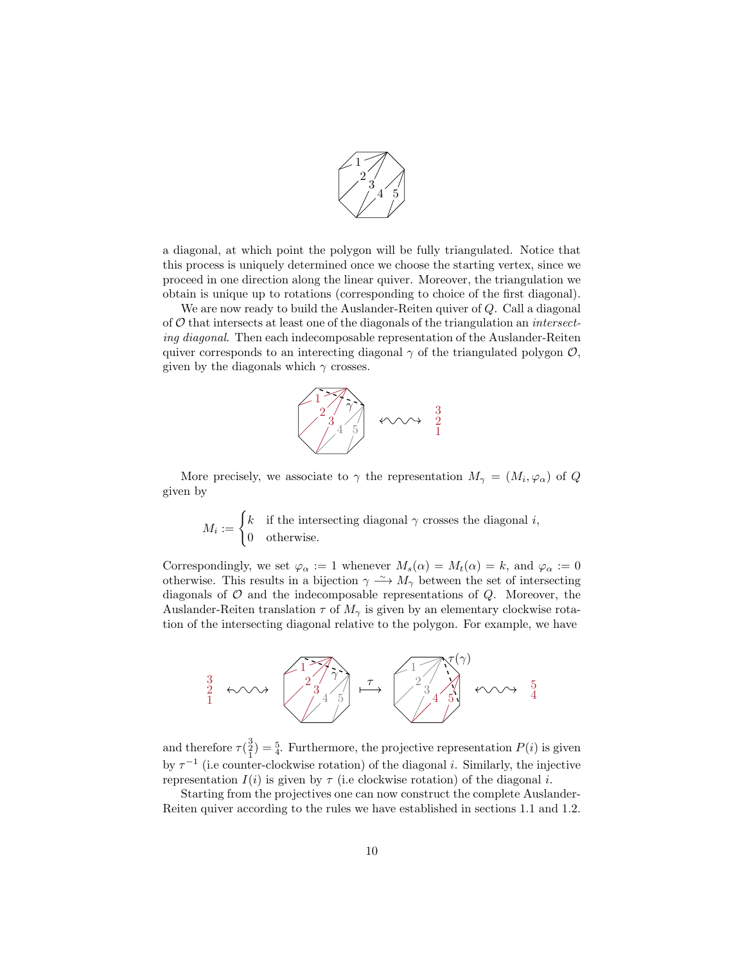

a diagonal, at which point the polygon will be fully triangulated. Notice that this process is uniquely determined once we choose the starting vertex, since we proceed in one direction along the linear quiver. Moreover, the triangulation we obtain is unique up to rotations (corresponding to choice of the first diagonal).

We are now ready to build the Auslander-Reiten quiver of Q. Call a diagonal of  $\mathcal O$  that intersects at least one of the diagonals of the triangulation an *intersect*ing diagonal. Then each indecomposable representation of the Auslander-Reiten quiver corresponds to an interecting diagonal  $\gamma$  of the triangulated polygon  $\mathcal{O}$ , given by the diagonals which  $\gamma$  crosses.



More precisely, we associate to  $\gamma$  the representation  $M_{\gamma} = (M_i, \varphi_{\alpha})$  of Q given by

 $M_i := \begin{cases} k & \text{if the intersecting diagonal } \gamma \text{ crosses the diagonal } i, \\ 0 & \text{otherwise.} \end{cases}$ 0 otherwise.

Correspondingly, we set  $\varphi_{\alpha} := 1$  whenever  $M_s(\alpha) = M_t(\alpha) = k$ , and  $\varphi_{\alpha} := 0$ otherwise. This results in a bijection  $\gamma \to M_{\gamma}$  between the set of intersecting diagonals of  $O$  and the indecomposable representations of  $Q$ . Moreover, the Auslander-Reiten translation  $\tau$  of  $M_{\gamma}$  is given by an elementary clockwise rotation of the intersecting diagonal relative to the polygon. For example, we have



and therefore  $\tau(\frac{3}{2}) = \frac{5}{4}$ . Furthermore, the projective representation  $P(i)$  is given by  $\tau^{-1}$  (i.e counter-clockwise rotation) of the diagonal *i*. Similarly, the injective representation  $I(i)$  is given by  $\tau$  (i.e clockwise rotation) of the diagonal i.

Starting from the projectives one can now construct the complete Auslander-Reiten quiver according to the rules we have established in sections 1.1 and 1.2.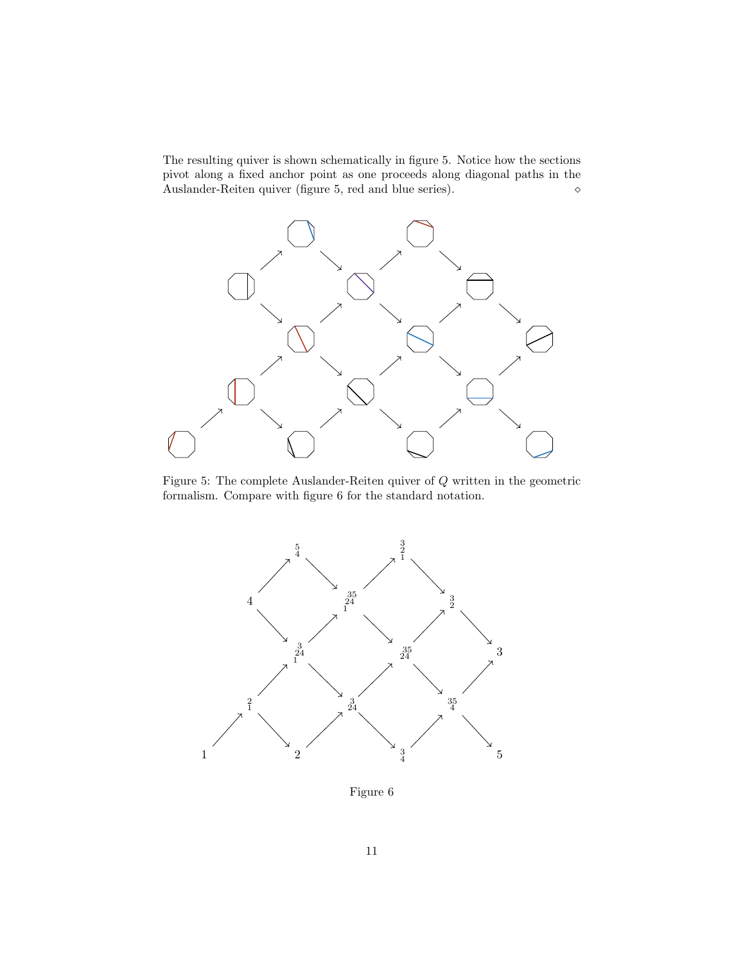The resulting quiver is shown schematically in figure 5. Notice how the sections pivot along a fixed anchor point as one proceeds along diagonal paths in the Auslander-Reiten quiver (figure 5, red and blue series).  $\diamond$ 



Figure 5: The complete Auslander-Reiten quiver of Q written in the geometric formalism. Compare with figure 6 for the standard notation.



Figure 6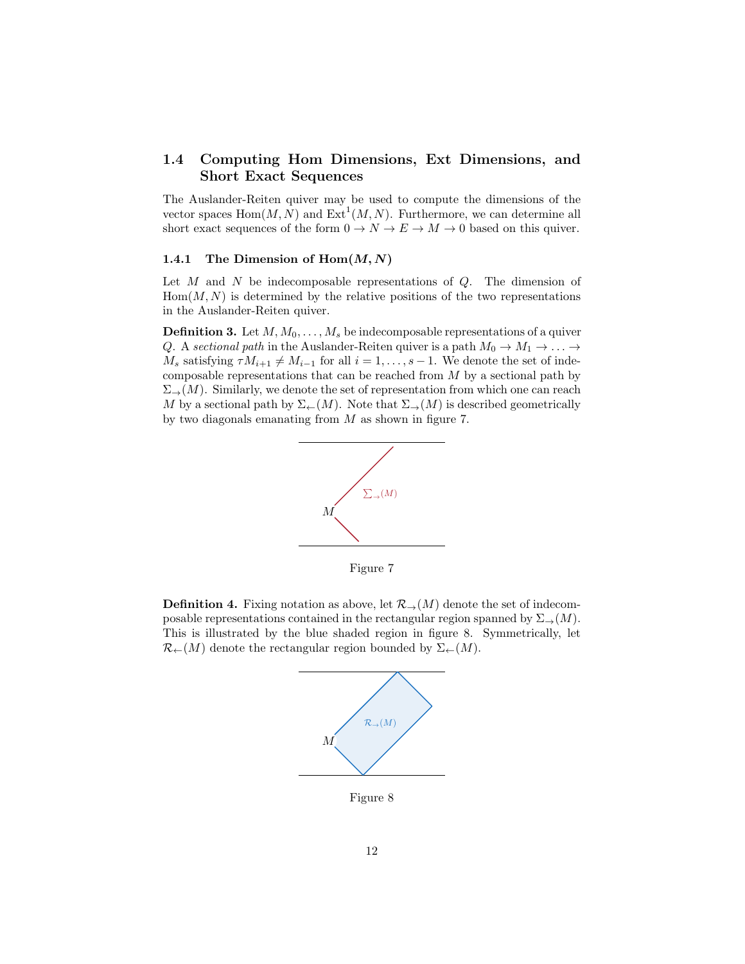## 1.4 Computing Hom Dimensions, Ext Dimensions, and Short Exact Sequences

The Auslander-Reiten quiver may be used to compute the dimensions of the vector spaces  $\text{Hom}(M, N)$  and  $\text{Ext}^1(M, N)$ . Furthermore, we can determine all short exact sequences of the form  $0 \to N \to E \to M \to 0$  based on this quiver.

### 1.4.1 The Dimension of  $Hom(M, N)$

Let  $M$  and  $N$  be indecomposable representations of  $Q$ . The dimension of  $Hom(M, N)$  is determined by the relative positions of the two representations in the Auslander-Reiten quiver.

**Definition 3.** Let  $M, M_0, \ldots, M_s$  be indecomposable representations of a quiver Q. A sectional path in the Auslander-Reiten quiver is a path  $M_0 \to M_1 \to \ldots \to$  $M_s$  satisfying  $\tau M_{i+1} \neq M_{i-1}$  for all  $i = 1, \ldots, s - 1$ . We denote the set of indecomposable representations that can be reached from M by a sectional path by  $\Sigma_{\rightarrow}(M)$ . Similarly, we denote the set of representation from which one can reach M by a sectional path by  $\Sigma_{\leftarrow}(M)$ . Note that  $\Sigma_{\rightarrow}(M)$  is described geometrically by two diagonals emanating from M as shown in figure 7.



Figure 7

**Definition 4.** Fixing notation as above, let  $\mathcal{R}_{\rightarrow}(M)$  denote the set of indecomposable representations contained in the rectangular region spanned by  $\Sigma_{\rightarrow}(M)$ . This is illustrated by the blue shaded region in figure 8. Symmetrically, let  $\mathcal{R}_{\leftarrow}(M)$  denote the rectangular region bounded by  $\Sigma_{\leftarrow}(M)$ .



Figure 8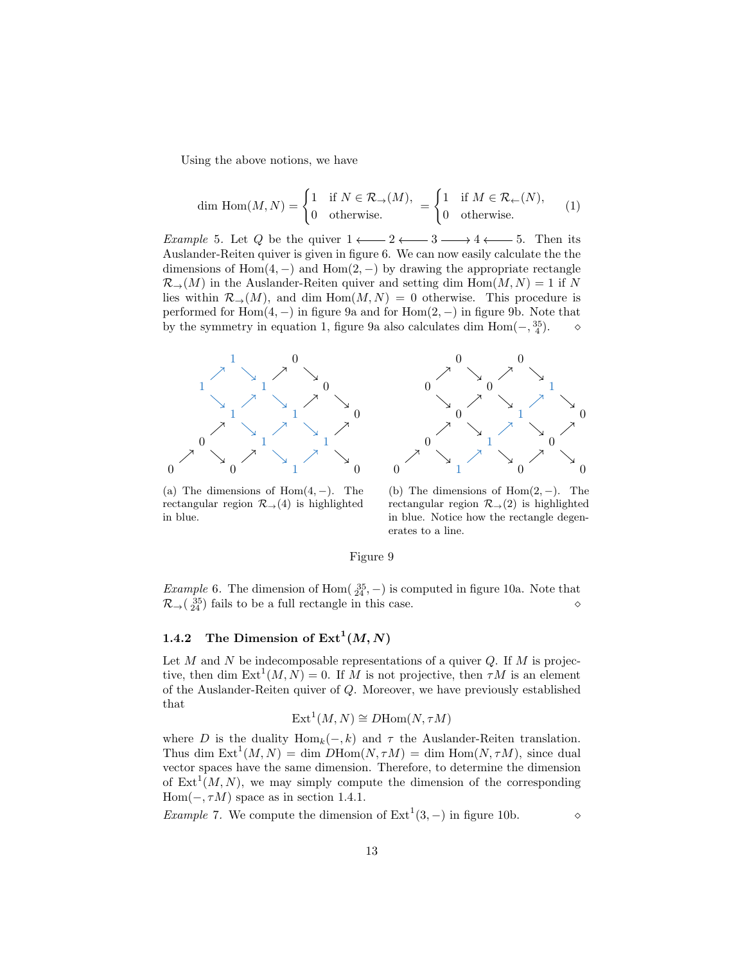Using the above notions, we have

$$
\dim \text{Hom}(M, N) = \begin{cases} 1 & \text{if } N \in \mathcal{R}_{\to}(M), \\ 0 & \text{otherwise.} \end{cases} = \begin{cases} 1 & \text{if } M \in \mathcal{R}_{\leftarrow}(N), \\ 0 & \text{otherwise.} \end{cases} \tag{1}
$$

*Example* 5. Let Q be the quiver  $1 \longleftarrow 2 \longleftarrow 3 \longrightarrow 4 \longleftarrow 5$ . Then its Auslander-Reiten quiver is given in figure 6. We can now easily calculate the the dimensions of Hom $(4, -)$  and Hom $(2, -)$  by drawing the appropriate rectangle  $\mathcal{R}_{\rightarrow}(M)$  in the Auslander-Reiten quiver and setting dim  $\text{Hom}(M, N) = 1$  if N lies within  $\mathcal{R}_{\rightarrow}(M)$ , and dim  $\text{Hom}(M, N) = 0$  otherwise. This procedure is performed for Hom $(4, -)$  in figure 9a and for Hom $(2, -)$  in figure 9b. Note that by the symmetry in equation 1, figure 9a also calculates dim  $Hom(-, \frac{35}{4})$ .  $\diamond$ 



(a) The dimensions of  $Hom(4, -)$ . The rectangular region  $\mathcal{R}_{\rightarrow}(4)$  is highlighted in blue.



(b) The dimensions of  $Hom(2, -)$ . The rectangular region  $\mathcal{R}_{\rightarrow}(2)$  is highlighted in blue. Notice how the rectangle degenerates to a line.

#### Figure 9

*Example* 6. The dimension of Hom $(\frac{35}{24}, -)$  is computed in figure 10a. Note that  $\mathcal{R}_{\rightarrow}$  ( $^{35}_{24}$ ) fails to be a full rectangle in this case.

## 1.4.2 The Dimension of  $\text{Ext}^1(M,N)$

Let  $M$  and  $N$  be indecomposable representations of a quiver  $Q$ . If  $M$  is projective, then dim  $\text{Ext}^1(M, N) = 0$ . If M is not projective, then  $\tau M$  is an element of the Auslander-Reiten quiver of Q. Moreover, we have previously established that

$$
Ext^1(M, N) \cong DHom(N, \tau M)
$$

where D is the duality  $\text{Hom}_k(-, k)$  and  $\tau$  the Auslander-Reiten translation. Thus dim  $Ext^1(M, N) = dim \, DHom(N, \tau M) = dim \, Hom(N, \tau M)$ , since dual vector spaces have the same dimension. Therefore, to determine the dimension of  $\text{Ext}^1(M, N)$ , we may simply compute the dimension of the corresponding Hom( $-$ ,  $\tau M$ ) space as in section 1.4.1.

*Example* 7. We compute the dimension of  $Ext<sup>1</sup>(3, -)$  in figure 10b.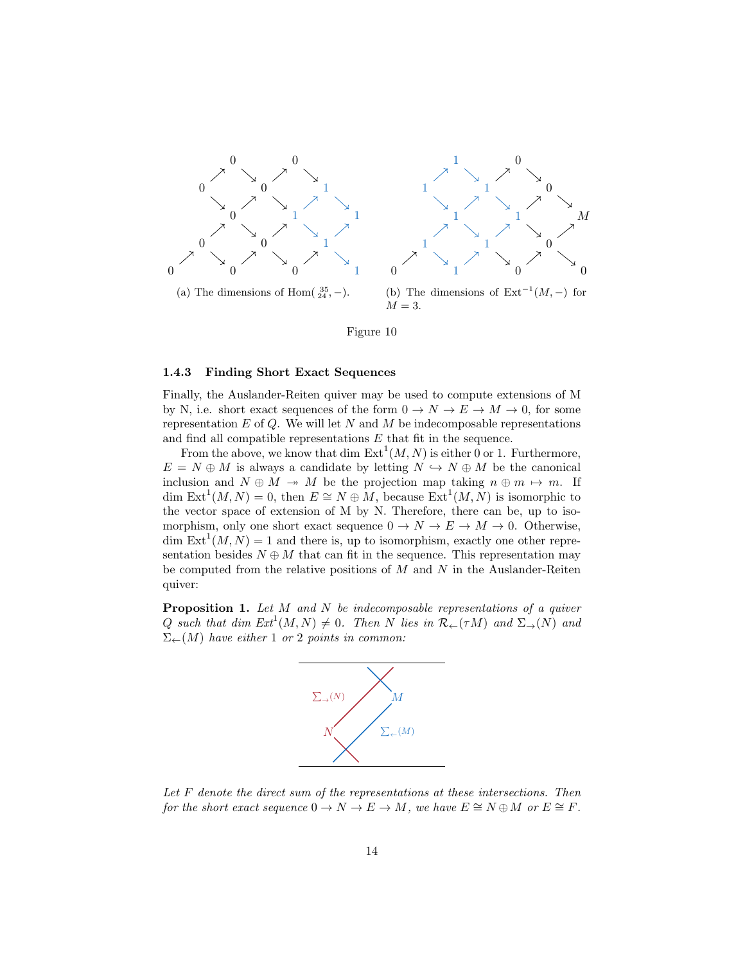

Figure 10

#### 1.4.3 Finding Short Exact Sequences

Finally, the Auslander-Reiten quiver may be used to compute extensions of M by N, i.e. short exact sequences of the form  $0 \to N \to E \to M \to 0$ , for some representation  $E$  of  $Q$ . We will let  $N$  and  $M$  be indecomposable representations and find all compatible representations E that fit in the sequence.

From the above, we know that dim  $\text{Ext}^1(M, N)$  is either 0 or 1. Furthermore,  $E = N \oplus M$  is always a candidate by letting  $N \hookrightarrow N \oplus M$  be the canonical inclusion and  $N \oplus M \rightarrow M$  be the projection map taking  $n \oplus m \mapsto m$ . If dim  $\text{Ext}^1(M, N) = 0$ , then  $E \cong N \oplus M$ , because  $\text{Ext}^1(M, N)$  is isomorphic to the vector space of extension of M by N. Therefore, there can be, up to isomorphism, only one short exact sequence  $0 \to N \to E \to M \to 0$ . Otherwise, dim  $\text{Ext}^1(M, N) = 1$  and there is, up to isomorphism, exactly one other representation besides  $N \oplus M$  that can fit in the sequence. This representation may be computed from the relative positions of  $M$  and  $N$  in the Auslander-Reiten quiver:

**Proposition 1.** Let  $M$  and  $N$  be indecomposable representations of a quiver Q such that dim  $Ext^1(M, N) \neq 0$ . Then N lies in  $\mathcal{R}_{\leftarrow}(\tau M)$  and  $\Sigma_{\rightarrow}(N)$  and  $\Sigma_{\leftarrow}(M)$  have either 1 or 2 points in common:



Let F denote the direct sum of the representations at these intersections. Then for the short exact sequence  $0 \to N \to E \to M$ , we have  $E \cong N \oplus M$  or  $E \cong F$ .